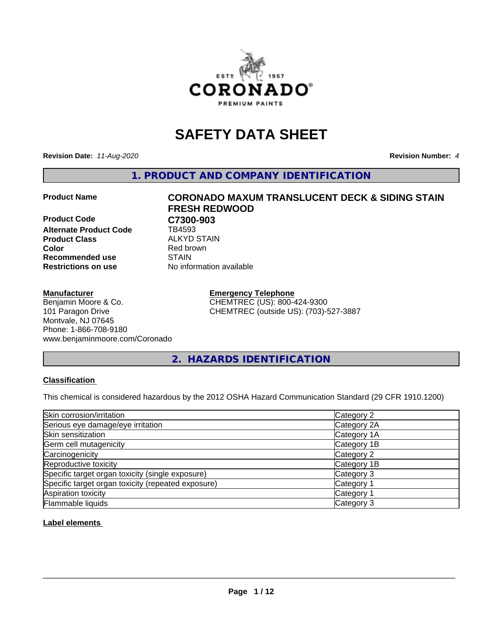

## **SAFETY DATA SHEET**

**Revision Date:** *11-Aug-2020* **Revision Number:** *4*

**1. PRODUCT AND COMPANY IDENTIFICATION**

**Product Code C7300-903**<br> **Alternate Product Code CR4593 Alternate Product Code Product Class** ALKYD STAIN<br> **Color** Red brown **Recommended use STAIN Restrictions on use** No information available

#### **Manufacturer**

#### Benjamin Moore & Co. 101 Paragon Drive Montvale, NJ 07645 Phone: 1-866-708-9180 www.benjaminmoore.com/Coronado

# **Product Name CORONADO MAXUM TRANSLUCENT DECK & SIDING STAIN FRESH REDWOOD Red brown**

**Emergency Telephone** CHEMTREC (US): 800-424-9300 CHEMTREC (outside US): (703)-527-3887

**2. HAZARDS IDENTIFICATION**

#### **Classification**

This chemical is considered hazardous by the 2012 OSHA Hazard Communication Standard (29 CFR 1910.1200)

| Skin corrosion/irritation                          | Category 2            |
|----------------------------------------------------|-----------------------|
| Serious eye damage/eye irritation                  | Category 2A           |
| Skin sensitization                                 | Category 1A           |
| Germ cell mutagenicity                             | Category 1B           |
| Carcinogenicity                                    | Category 2            |
| Reproductive toxicity                              | Category 1B           |
| Specific target organ toxicity (single exposure)   | Category 3            |
| Specific target organ toxicity (repeated exposure) | Category <sup>-</sup> |
| Aspiration toxicity                                | Category 1            |
| Flammable liquids                                  | Category 3            |

**Label elements**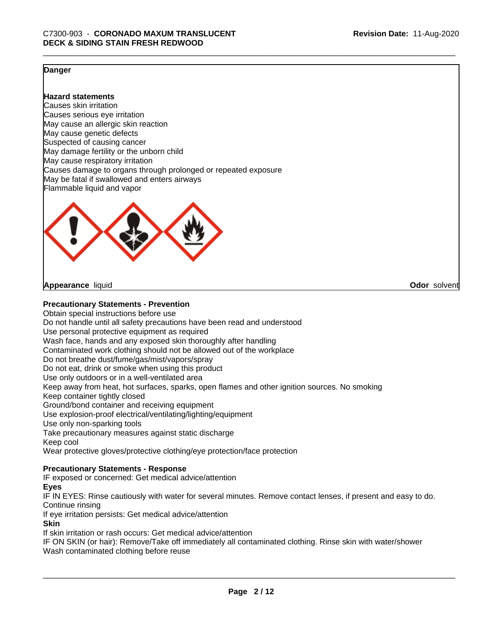**Odor** solvent

#### **Danger**

**Hazard statements**

Causes skin irritation Causes serious eye irritation May cause an allergic skin reaction May cause genetic defects Suspected of causing cancer May damage fertility or the unborn child May cause respiratory irritation Causes damage to organs through prolonged or repeated exposure May be fatal if swallowed and enters airways Flammable liquid and vapor



**Appearance** liquid

#### **Precautionary Statements - Prevention**

Obtain special instructions before use Do not handle until all safety precautions have been read and understood Use personal protective equipment as required Wash face, hands and any exposed skin thoroughly after handling Contaminated work clothing should not be allowed out of the workplace Do not breathe dust/fume/gas/mist/vapors/spray Do not eat, drink or smoke when using this product Use only outdoors or in a well-ventilated area Keep away from heat, hot surfaces, sparks, open flames and other ignition sources. No smoking Keep container tightly closed Ground/bond container and receiving equipment Use explosion-proof electrical/ventilating/lighting/equipment Use only non-sparking tools Take precautionary measures against static discharge Keep cool Wear protective gloves/protective clothing/eye protection/face protection

#### **Precautionary Statements - Response**

IF exposed or concerned: Get medical advice/attention

#### **Eyes**

IF IN EYES: Rinse cautiously with water for several minutes. Remove contact lenses, if present and easy to do. Continue rinsing

If eye irritation persists: Get medical advice/attention

#### **Skin**

If skin irritation or rash occurs: Get medical advice/attention

IF ON SKIN (or hair): Remove/Take off immediately all contaminated clothing. Rinse skin with water/shower Wash contaminated clothing before reuse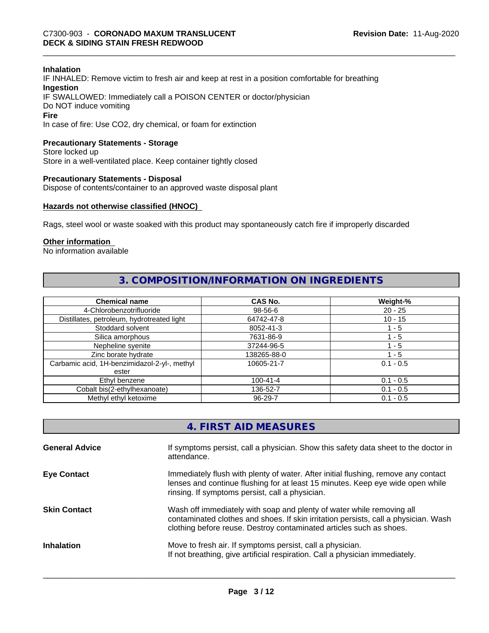#### **Inhalation**

IF INHALED: Remove victim to fresh air and keep at rest in a position comfortable for breathing **Ingestion** IF SWALLOWED: Immediately call a POISON CENTER or doctor/physician Do NOT induce vomiting **Fire**

In case of fire: Use CO2, dry chemical, or foam for extinction

#### **Precautionary Statements - Storage**

Store locked up Store in a well-ventilated place. Keep container tightly closed

#### **Precautionary Statements - Disposal**

Dispose of contents/container to an approved waste disposal plant

#### **Hazards not otherwise classified (HNOC)**

Rags, steel wool or waste soaked with this product may spontaneously catch fire if improperly discarded

#### **Other information**

No information available

#### **3. COMPOSITION/INFORMATION ON INGREDIENTS**

| <b>Chemical name</b>                         | CAS No.        | Weight-%    |
|----------------------------------------------|----------------|-------------|
| 4-Chlorobenzotrifluoride                     | 98-56-6        | $20 - 25$   |
| Distillates, petroleum, hydrotreated light   | 64742-47-8     | $10 - 15$   |
| Stoddard solvent                             | 8052-41-3      | 1 - 5       |
| Silica amorphous                             | 7631-86-9      | 1 - 5       |
| Nepheline syenite                            | 37244-96-5     | ' - 5       |
| Zinc borate hydrate                          | 138265-88-0    | 1 - 5       |
| Carbamic acid, 1H-benzimidazol-2-yl-, methyl | 10605-21-7     | $0.1 - 0.5$ |
| ester                                        |                |             |
| Ethyl benzene                                | $100 - 41 - 4$ | $0.1 - 0.5$ |
| Cobalt bis(2-ethylhexanoate)                 | 136-52-7       | $0.1 - 0.5$ |
| Methyl ethyl ketoxime                        | 96-29-7        | $0.1 - 0.5$ |

| 4. FIRST AID MEASURES |  |
|-----------------------|--|
|-----------------------|--|

| <b>General Advice</b> | If symptoms persist, call a physician. Show this safety data sheet to the doctor in<br>attendance.                                                                                                                                  |
|-----------------------|-------------------------------------------------------------------------------------------------------------------------------------------------------------------------------------------------------------------------------------|
| <b>Eye Contact</b>    | Immediately flush with plenty of water. After initial flushing, remove any contact<br>lenses and continue flushing for at least 15 minutes. Keep eye wide open while<br>rinsing. If symptoms persist, call a physician.             |
| <b>Skin Contact</b>   | Wash off immediately with soap and plenty of water while removing all<br>contaminated clothes and shoes. If skin irritation persists, call a physician. Wash<br>clothing before reuse. Destroy contaminated articles such as shoes. |
| <b>Inhalation</b>     | Move to fresh air. If symptoms persist, call a physician.<br>If not breathing, give artificial respiration. Call a physician immediately.                                                                                           |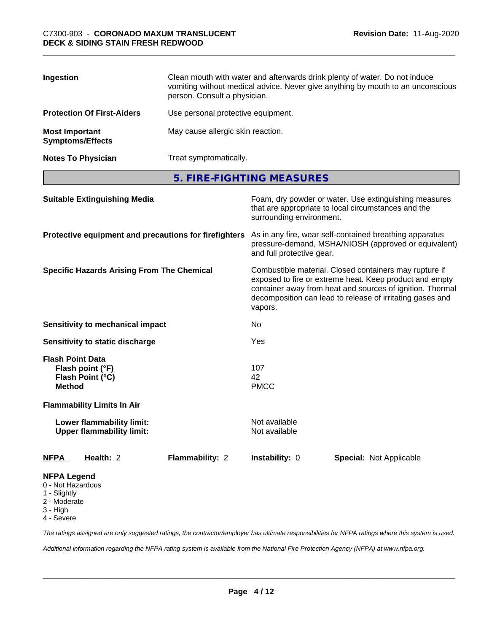| Ingestion                                        | Clean mouth with water and afterwards drink plenty of water. Do not induce<br>vomiting without medical advice. Never give anything by mouth to an unconscious<br>person. Consult a physician. |
|--------------------------------------------------|-----------------------------------------------------------------------------------------------------------------------------------------------------------------------------------------------|
| <b>Protection Of First-Aiders</b>                | Use personal protective equipment.                                                                                                                                                            |
| <b>Most Important</b><br><b>Symptoms/Effects</b> | May cause allergic skin reaction.                                                                                                                                                             |
| <b>Notes To Physician</b>                        | Treat symptomatically.                                                                                                                                                                        |

**5. FIRE-FIGHTING MEASURES**

| <b>Suitable Extinguishing Media</b>                                                 |                 | Foam, dry powder or water. Use extinguishing measures<br>that are appropriate to local circumstances and the<br>surrounding environment.                                                                                                               |                                |  |
|-------------------------------------------------------------------------------------|-----------------|--------------------------------------------------------------------------------------------------------------------------------------------------------------------------------------------------------------------------------------------------------|--------------------------------|--|
| Protective equipment and precautions for firefighters                               |                 | As in any fire, wear self-contained breathing apparatus<br>pressure-demand, MSHA/NIOSH (approved or equivalent)<br>and full protective gear.                                                                                                           |                                |  |
| <b>Specific Hazards Arising From The Chemical</b>                                   |                 | Combustible material. Closed containers may rupture if<br>exposed to fire or extreme heat. Keep product and empty<br>container away from heat and sources of ignition. Thermal<br>decomposition can lead to release of irritating gases and<br>vapors. |                                |  |
| <b>Sensitivity to mechanical impact</b>                                             |                 | No                                                                                                                                                                                                                                                     |                                |  |
| Sensitivity to static discharge                                                     |                 | Yes                                                                                                                                                                                                                                                    |                                |  |
| <b>Flash Point Data</b><br>Flash point (°F)<br>Flash Point (°C)<br><b>Method</b>    |                 | 107<br>42<br><b>PMCC</b>                                                                                                                                                                                                                               |                                |  |
| <b>Flammability Limits In Air</b>                                                   |                 |                                                                                                                                                                                                                                                        |                                |  |
| Lower flammability limit:<br><b>Upper flammability limit:</b>                       |                 | Not available<br>Not available                                                                                                                                                                                                                         |                                |  |
| Health: 2<br><b>NFPA</b>                                                            | Flammability: 2 | Instability: 0                                                                                                                                                                                                                                         | <b>Special: Not Applicable</b> |  |
| <b>NFPA Legend</b><br>0 - Not Hazardous<br>1 - Slightly<br>2 - Moderate<br>3 - High |                 |                                                                                                                                                                                                                                                        |                                |  |

4 - Severe

*The ratings assigned are only suggested ratings, the contractor/employer has ultimate responsibilities for NFPA ratings where this system is used.*

*Additional information regarding the NFPA rating system is available from the National Fire Protection Agency (NFPA) at www.nfpa.org.*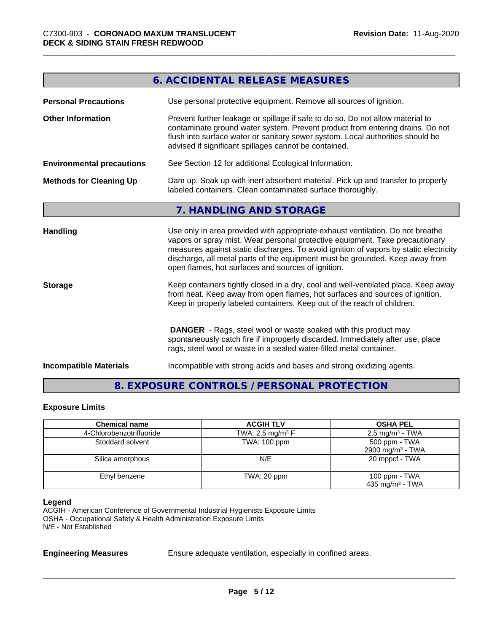|                                  | 6. ACCIDENTAL RELEASE MEASURES                                                                                                                                                                                                                                                                                                                                                                |
|----------------------------------|-----------------------------------------------------------------------------------------------------------------------------------------------------------------------------------------------------------------------------------------------------------------------------------------------------------------------------------------------------------------------------------------------|
| <b>Personal Precautions</b>      | Use personal protective equipment. Remove all sources of ignition.                                                                                                                                                                                                                                                                                                                            |
| <b>Other Information</b>         | Prevent further leakage or spillage if safe to do so. Do not allow material to<br>contaminate ground water system. Prevent product from entering drains. Do not<br>flush into surface water or sanitary sewer system. Local authorities should be<br>advised if significant spillages cannot be contained.                                                                                    |
| <b>Environmental precautions</b> | See Section 12 for additional Ecological Information.                                                                                                                                                                                                                                                                                                                                         |
| <b>Methods for Cleaning Up</b>   | Dam up. Soak up with inert absorbent material. Pick up and transfer to properly<br>labeled containers. Clean contaminated surface thoroughly.                                                                                                                                                                                                                                                 |
|                                  | 7. HANDLING AND STORAGE                                                                                                                                                                                                                                                                                                                                                                       |
| <b>Handling</b>                  | Use only in area provided with appropriate exhaust ventilation. Do not breathe<br>vapors or spray mist. Wear personal protective equipment. Take precautionary<br>measures against static discharges. To avoid ignition of vapors by static electricity<br>discharge, all metal parts of the equipment must be grounded. Keep away from<br>open flames, hot surfaces and sources of ignition. |
| <b>Storage</b>                   | Keep containers tightly closed in a dry, cool and well-ventilated place. Keep away<br>from heat. Keep away from open flames, hot surfaces and sources of ignition.<br>Keep in properly labeled containers. Keep out of the reach of children.                                                                                                                                                 |
|                                  | <b>DANGER</b> - Rags, steel wool or waste soaked with this product may<br>spontaneously catch fire if improperly discarded. Immediately after use, place<br>rags, steel wool or waste in a sealed water-filled metal container.                                                                                                                                                               |
| <b>Incompatible Materials</b>    | Incompatible with strong acids and bases and strong oxidizing agents.                                                                                                                                                                                                                                                                                                                         |

### **8. EXPOSURE CONTROLS / PERSONAL PROTECTION**

#### **Exposure Limits**

| <b>Chemical name</b>     | <b>ACGIH TLV</b>               | <b>OSHA PEL</b>              |
|--------------------------|--------------------------------|------------------------------|
| 4-Chlorobenzotrifluoride | TWA: 2.5 mg/m <sup>3</sup> $F$ | $2.5 \text{ mg/m}^3$ - TWA   |
| Stoddard solvent         | <b>TWA: 100 ppm</b>            | 500 ppm - TWA                |
|                          |                                | 2900 mg/m <sup>3</sup> - TWA |
| Silica amorphous         | N/E                            | 20 mppcf - TWA               |
| Ethyl benzene            | TWA: 20 ppm                    | 100 ppm $-$ TWA              |
|                          |                                | 435 mg/m $3$ - TWA           |

#### **Legend**

ACGIH - American Conference of Governmental Industrial Hygienists Exposure Limits OSHA - Occupational Safety & Health Administration Exposure Limits N/E - Not Established

**Engineering Measures** Ensure adequate ventilation, especially in confined areas.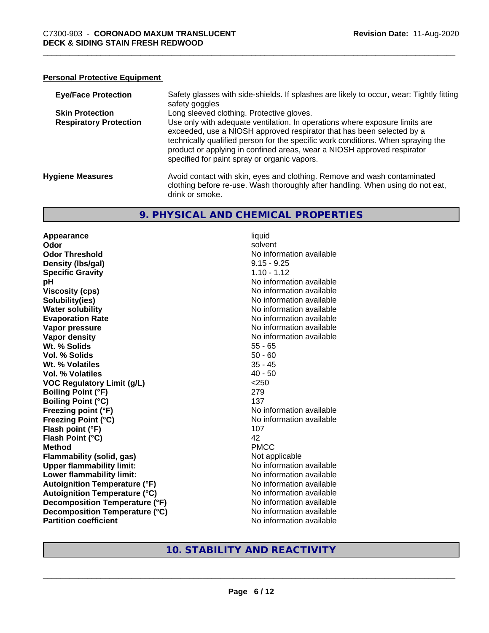#### **Personal Protective Equipment**

| <b>Eye/Face Protection</b>    | Safety glasses with side-shields. If splashes are likely to occur, wear: Tightly fitting<br>safety goggles                                                                                                                                                                                                                                                          |
|-------------------------------|---------------------------------------------------------------------------------------------------------------------------------------------------------------------------------------------------------------------------------------------------------------------------------------------------------------------------------------------------------------------|
| <b>Skin Protection</b>        | Long sleeved clothing. Protective gloves.                                                                                                                                                                                                                                                                                                                           |
| <b>Respiratory Protection</b> | Use only with adequate ventilation. In operations where exposure limits are<br>exceeded, use a NIOSH approved respirator that has been selected by a<br>technically qualified person for the specific work conditions. When spraying the<br>product or applying in confined areas, wear a NIOSH approved respirator<br>specified for paint spray or organic vapors. |
| <b>Hygiene Measures</b>       | Avoid contact with skin, eyes and clothing. Remove and wash contaminated<br>clothing before re-use. Wash thoroughly after handling. When using do not eat,<br>drink or smoke.                                                                                                                                                                                       |

#### **9. PHYSICAL AND CHEMICAL PROPERTIES**

**Appearance** liquid **Odor** solvent **Odor Threshold No information available No information available Density (Ibs/gal)** 9.15 - 9.25 **Specific Gravity** 1.10 - 1.12 **pH** No information available **Viscosity (cps)** No information available Notice 1 **Solubility(ies)**<br> **Solubility**<br> **Water solubility**<br> **Water solubility Evaporation Rate No information available No information available Vapor pressure** No information available **Vapor density No information available No information available Wt. % Solids** 55 - 65 **Vol. % Solids** 50 - 60 **Wt. % Volatiles** 35 - 45 **Vol. % Volatiles** 40 - 50 **VOC Regulatory Limit (g/L)** <250 **Boiling Point (°F)** 279 **Boiling Point (°C)** 137 **Freezing point (°F)** No information available **Freezing Point (°C)** The state of the Mondo No information available **Flash point (°F)** 107 **Flash Point (°C)** 42 **Method** PMCC **Flammability (solid, gas)** Not applicable **Upper flammability limit:** No information available **Lower flammability limit:**<br> **Autoignition Temperature (°F)** No information available **Autoignition Temperature (°F)**<br> **Autoignition Temperature (°C)** 
<br> **Autoignition Temperature (°C)** 
<br> **Autoignition Temperature (°C) Autoignition Temperature (°C) Decomposition Temperature (°F)** No information available **Decomposition Temperature (°C)** No information available **Partition coefficient Community Contract Contract Contract Contract Contract Contract Contract Contract Contract Contract Contract Contract Contract Contract Contract Contract Contract Contract Contract Contract Contr** 

**No information available** 

#### **10. STABILITY AND REACTIVITY**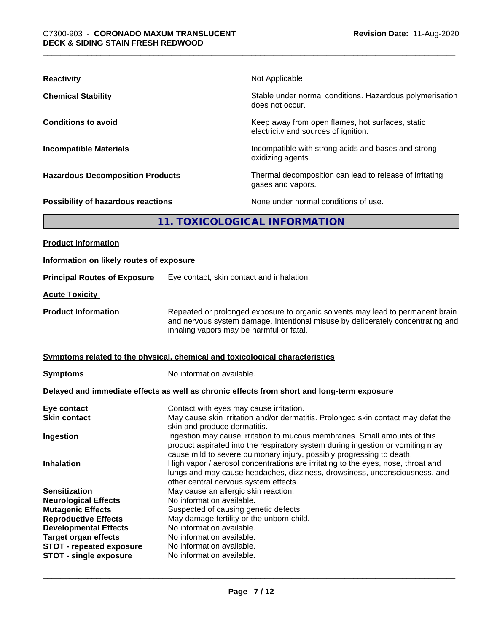| <b>Reactivity</b>                       | Not Applicable                                                                           |  |
|-----------------------------------------|------------------------------------------------------------------------------------------|--|
| <b>Chemical Stability</b>               | Stable under normal conditions. Hazardous polymerisation<br>does not occur.              |  |
| <b>Conditions to avoid</b>              | Keep away from open flames, hot surfaces, static<br>electricity and sources of ignition. |  |
| <b>Incompatible Materials</b>           | Incompatible with strong acids and bases and strong<br>oxidizing agents.                 |  |
| <b>Hazardous Decomposition Products</b> | Thermal decomposition can lead to release of irritating<br>gases and vapors.             |  |
| Possibility of hazardous reactions      | None under normal conditions of use.                                                     |  |
| 11. TOXICOLOGICAL INFORMATION           |                                                                                          |  |
|                                         |                                                                                          |  |

| <b>Product Information</b>                                  |                                                                                                                                                                                                                                      |
|-------------------------------------------------------------|--------------------------------------------------------------------------------------------------------------------------------------------------------------------------------------------------------------------------------------|
| Information on likely routes of exposure                    |                                                                                                                                                                                                                                      |
| <b>Principal Routes of Exposure</b>                         | Eye contact, skin contact and inhalation.                                                                                                                                                                                            |
| <b>Acute Toxicity</b>                                       |                                                                                                                                                                                                                                      |
| <b>Product Information</b>                                  | Repeated or prolonged exposure to organic solvents may lead to permanent brain<br>and nervous system damage. Intentional misuse by deliberately concentrating and<br>inhaling vapors may be harmful or fatal.                        |
|                                                             | Symptoms related to the physical, chemical and toxicological characteristics                                                                                                                                                         |
| <b>Symptoms</b>                                             | No information available.                                                                                                                                                                                                            |
|                                                             | Delayed and immediate effects as well as chronic effects from short and long-term exposure                                                                                                                                           |
| Eye contact<br><b>Skin contact</b>                          | Contact with eyes may cause irritation.<br>May cause skin irritation and/or dermatitis. Prolonged skin contact may defat the<br>skin and produce dermatitis.                                                                         |
| Ingestion                                                   | Ingestion may cause irritation to mucous membranes. Small amounts of this<br>product aspirated into the respiratory system during ingestion or vomiting may<br>cause mild to severe pulmonary injury, possibly progressing to death. |
| <b>Inhalation</b>                                           | High vapor / aerosol concentrations are irritating to the eyes, nose, throat and<br>lungs and may cause headaches, dizziness, drowsiness, unconsciousness, and<br>other central nervous system effects.                              |
| <b>Sensitization</b>                                        | May cause an allergic skin reaction.                                                                                                                                                                                                 |
| <b>Neurological Effects</b>                                 | No information available.                                                                                                                                                                                                            |
| <b>Mutagenic Effects</b>                                    | Suspected of causing genetic defects.                                                                                                                                                                                                |
| <b>Reproductive Effects</b>                                 | May damage fertility or the unborn child.<br>No information available.                                                                                                                                                               |
| <b>Developmental Effects</b><br><b>Target organ effects</b> | No information available.                                                                                                                                                                                                            |
| <b>STOT - repeated exposure</b>                             | No information available.                                                                                                                                                                                                            |
| <b>STOT - single exposure</b>                               | No information available.                                                                                                                                                                                                            |
|                                                             |                                                                                                                                                                                                                                      |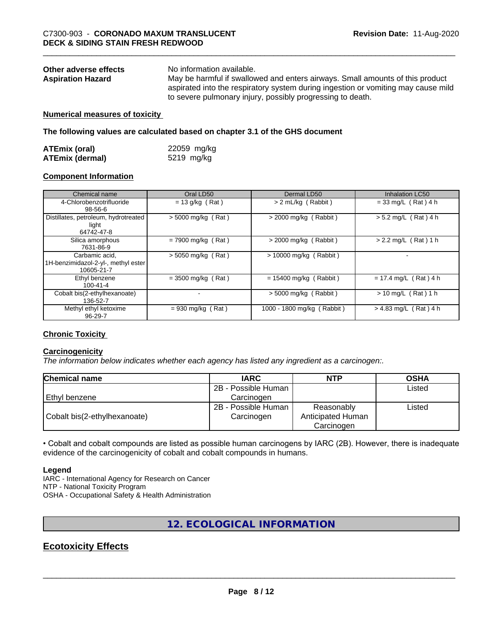| Other adverse effects    | No information available.                                                         |
|--------------------------|-----------------------------------------------------------------------------------|
| <b>Aspiration Hazard</b> | May be harmful if swallowed and enters airways. Small amounts of this product     |
|                          | aspirated into the respiratory system during ingestion or vomiting may cause mild |
|                          | to severe pulmonary injury, possibly progressing to death.                        |

#### **Numerical measures of toxicity**

**The following values are calculated based on chapter 3.1 of the GHS document**

| <b>ATEmix (oral)</b>   | 22059 mg/kg |
|------------------------|-------------|
| <b>ATEmix (dermal)</b> | 5219 mg/kg  |

#### **Component Information**

| Chemical name                                                       | Oral LD50            | Dermal LD50                | <b>Inhalation LC50</b>  |
|---------------------------------------------------------------------|----------------------|----------------------------|-------------------------|
| 4-Chlorobenzotrifluoride<br>98-56-6                                 | $= 13$ g/kg (Rat)    | > 2 mL/kg (Rabbit)         | $= 33$ mg/L (Rat) 4 h   |
| Distillates, petroleum, hydrotreated<br>light<br>64742-47-8         | $>$ 5000 mg/kg (Rat) | $>$ 2000 mg/kg (Rabbit)    | $> 5.2$ mg/L (Rat) 4 h  |
| Silica amorphous<br>7631-86-9                                       | $= 7900$ mg/kg (Rat) | $>$ 2000 mg/kg (Rabbit)    | $> 2.2$ mg/L (Rat) 1 h  |
| Carbamic acid,<br>1H-benzimidazol-2-yl-, methyl ester<br>10605-21-7 | $> 5050$ mg/kg (Rat) | $> 10000$ mg/kg (Rabbit)   |                         |
| Ethyl benzene<br>$100 - 41 - 4$                                     | $=$ 3500 mg/kg (Rat) | $= 15400$ mg/kg (Rabbit)   | $= 17.4$ mg/L (Rat) 4 h |
| Cobalt bis(2-ethylhexanoate)<br>136-52-7                            |                      | $>$ 5000 mg/kg (Rabbit)    | $> 10$ mg/L (Rat) 1 h   |
| Methyl ethyl ketoxime<br>$96 - 29 - 7$                              | $= 930$ mg/kg (Rat)  | 1000 - 1800 mg/kg (Rabbit) | $> 4.83$ mg/L (Rat) 4 h |

#### **Chronic Toxicity**

#### **Carcinogenicity**

*The information below indicateswhether each agency has listed any ingredient as a carcinogen:.*

| <b>Chemical name</b>         | <b>IARC</b>         | <b>NTP</b>        | <b>OSHA</b> |  |
|------------------------------|---------------------|-------------------|-------------|--|
|                              | 2B - Possible Human |                   | Listed      |  |
| l Ethvl benzene              | Carcinogen          |                   |             |  |
|                              | 2B - Possible Human | Reasonably        | Listed      |  |
| Cobalt bis(2-ethylhexanoate) | Carcinogen          | Anticipated Human |             |  |
|                              |                     | Carcinogen        |             |  |

• Cobalt and cobalt compounds are listed as possible human carcinogens by IARC (2B). However, there is inadequate evidence of the carcinogenicity of cobalt and cobalt compounds in humans.

#### **Legend**

IARC - International Agency for Research on Cancer NTP - National Toxicity Program OSHA - Occupational Safety & Health Administration

#### **12. ECOLOGICAL INFORMATION**

### **Ecotoxicity Effects**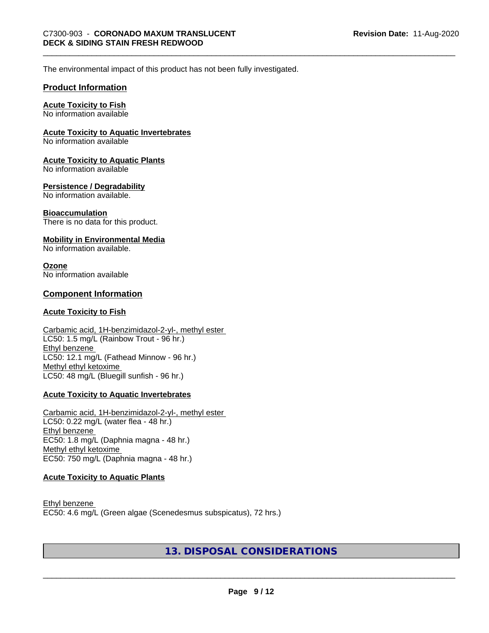The environmental impact of this product has not been fully investigated.

#### **Product Information**

#### **Acute Toxicity to Fish**

No information available

#### **Acute Toxicity to Aquatic Invertebrates**

No information available

#### **Acute Toxicity to Aquatic Plants**

No information available

#### **Persistence / Degradability**

No information available.

#### **Bioaccumulation**

There is no data for this product.

#### **Mobility in Environmental Media**

No information available.

#### **Ozone**

No information available

#### **Component Information**

#### **Acute Toxicity to Fish**

#### Carbamic acid, 1H-benzimidazol-2-yl-, methyl ester LC50: 1.5 mg/L (Rainbow Trout - 96 hr.) Ethyl benzene LC50: 12.1 mg/L (Fathead Minnow - 96 hr.) Methyl ethyl ketoxime LC50: 48 mg/L (Bluegill sunfish - 96 hr.)

#### **Acute Toxicity to Aquatic Invertebrates**

Carbamic acid, 1H-benzimidazol-2-yl-, methyl ester LC50: 0.22 mg/L (water flea - 48 hr.) Ethyl benzene EC50: 1.8 mg/L (Daphnia magna - 48 hr.) Methyl ethyl ketoxime EC50: 750 mg/L (Daphnia magna - 48 hr.)

#### **Acute Toxicity to Aquatic Plants**

Ethyl benzene EC50: 4.6 mg/L (Green algae (Scenedesmus subspicatus), 72 hrs.)

#### **13. DISPOSAL CONSIDERATIONS**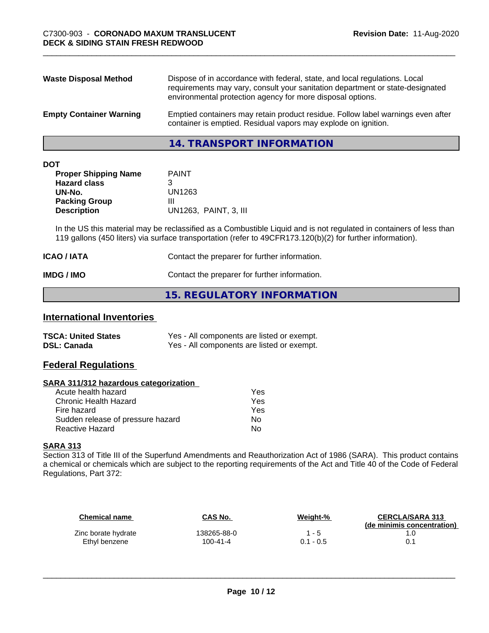| <b>Waste Disposal Method</b>   | Dispose of in accordance with federal, state, and local regulations. Local<br>requirements may vary, consult your sanitation department or state-designated<br>environmental protection agency for more disposal options. |
|--------------------------------|---------------------------------------------------------------------------------------------------------------------------------------------------------------------------------------------------------------------------|
| <b>Empty Container Warning</b> | Emptied containers may retain product residue. Follow label warnings even after<br>container is emptied. Residual vapors may explode on ignition.                                                                         |

**14. TRANSPORT INFORMATION**

|--|

| <b>PAINT</b>          |
|-----------------------|
|                       |
| UN1263                |
| Ш                     |
| UN1263, PAINT, 3, III |
|                       |

In the US this material may be reclassified as a Combustible Liquid and is not regulated in containers of less than 119 gallons (450 liters) via surface transportation (refer to 49CFR173.120(b)(2) for further information).

| <b>ICAO / IATA</b> | Contact the preparer for further information. |
|--------------------|-----------------------------------------------|
| IMDG / IMO         | Contact the preparer for further information. |

#### **15. REGULATORY INFORMATION**

#### **International Inventories**

| <b>TSCA: United States</b> | Yes - All components are listed or exempt. |
|----------------------------|--------------------------------------------|
| <b>DSL: Canada</b>         | Yes - All components are listed or exempt. |

#### **Federal Regulations**

#### **SARA 311/312 hazardous categorization**

| Yes |
|-----|
| Yes |
| Yes |
| Nο  |
| N٥  |
|     |

#### **SARA 313**

Section 313 of Title III of the Superfund Amendments and Reauthorization Act of 1986 (SARA). This product contains a chemical or chemicals which are subject to the reporting requirements of the Act and Title 40 of the Code of Federal Regulations, Part 372:

| Chemical name       | CAS No.        | Weight-%    | <b>CERCLA/SARA 313</b><br>(de minimis concentration) |
|---------------------|----------------|-------------|------------------------------------------------------|
| Zinc borate hydrate | 138265-88-0    | 1 - 5       |                                                      |
| Ethyl benzene       | $100 - 41 - 4$ | $0.1 - 0.5$ |                                                      |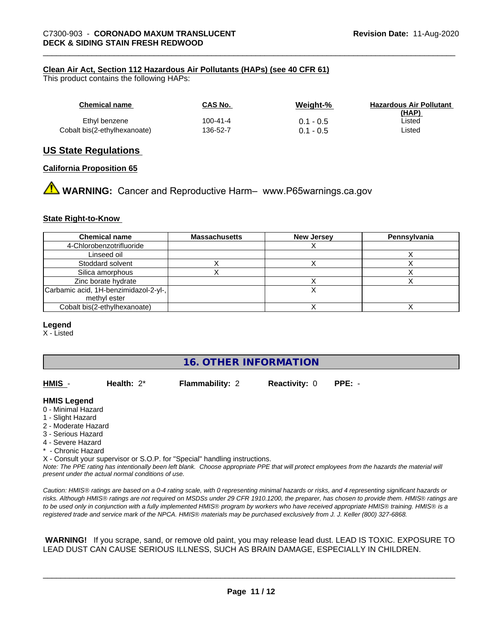#### **Clean Air Act,Section 112 Hazardous Air Pollutants (HAPs) (see 40 CFR 61)**

This product contains the following HAPs:

| Chemical name                | CAS No.  | Weight-%    | <b>Hazardous Air Pollutant</b><br>(HAP) |
|------------------------------|----------|-------------|-----------------------------------------|
| Ethyl benzene                | 100-41-4 | $0.1 - 0.5$ | ∟isted                                  |
| Cobalt bis(2-ethylhexanoate) | 136-52-7 | $0.1 - 0.5$ | Listed                                  |

#### **US State Regulations**

#### **California Proposition 65**

**A** WARNING: Cancer and Reproductive Harm– www.P65warnings.ca.gov

#### **State Right-to-Know**

| <b>Chemical name</b>                  | <b>Massachusetts</b> | <b>New Jersey</b> | Pennsylvania |
|---------------------------------------|----------------------|-------------------|--------------|
| 4-Chlorobenzotrifluoride              |                      |                   |              |
| Linseed oil                           |                      |                   |              |
| Stoddard solvent                      |                      |                   |              |
| Silica amorphous                      |                      |                   |              |
| Zinc borate hydrate                   |                      |                   |              |
| Carbamic acid, 1H-benzimidazol-2-yl-, |                      |                   |              |
| methyl ester                          |                      |                   |              |
| Cobalt bis(2-ethylhexanoate)          |                      |                   |              |

#### **Legend**

X - Listed

#### **16. OTHER INFORMATION**

**HMIS** - **Health:** 2\* **Flammability:** 2 **Reactivity:** 0 **PPE:** -

#### **HMIS Legend**

- 0 Minimal Hazard
- 1 Slight Hazard
- 2 Moderate Hazard
- 3 Serious Hazard
- 4 Severe Hazard
- \* Chronic Hazard

X - Consult your supervisor or S.O.P. for "Special" handling instructions.

*Note: The PPE rating has intentionally been left blank. Choose appropriate PPE that will protect employees from the hazards the material will present under the actual normal conditions of use.*

*Caution: HMISÒ ratings are based on a 0-4 rating scale, with 0 representing minimal hazards or risks, and 4 representing significant hazards or risks. Although HMISÒ ratings are not required on MSDSs under 29 CFR 1910.1200, the preparer, has chosen to provide them. HMISÒ ratings are to be used only in conjunction with a fully implemented HMISÒ program by workers who have received appropriate HMISÒ training. HMISÒ is a registered trade and service mark of the NPCA. HMISÒ materials may be purchased exclusively from J. J. Keller (800) 327-6868.*

 **WARNING!** If you scrape, sand, or remove old paint, you may release lead dust. LEAD IS TOXIC. EXPOSURE TO LEAD DUST CAN CAUSE SERIOUS ILLNESS, SUCH AS BRAIN DAMAGE, ESPECIALLY IN CHILDREN.